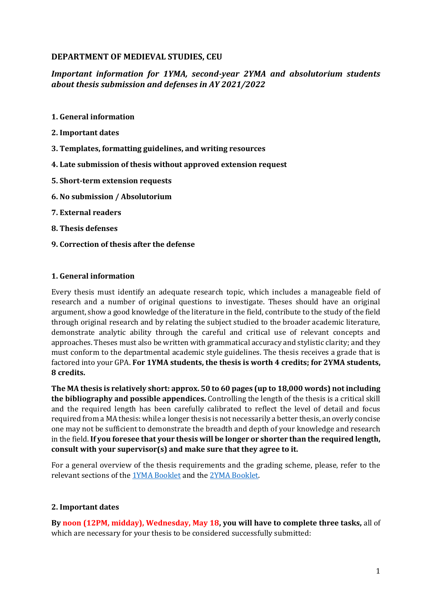## **DEPARTMENT OF MEDIEVAL STUDIES, CEU**

# *Important information for 1YMA, second-year 2YMA and absolutorium students about thesis submission and defenses in AY 2021/2022*

- **1. General information**
- **2. Important dates**
- **3. Templates, formatting guidelines, and writing resources**
- **4. Late submission of thesis without approved extension request**
- **5. Short-term extension requests**
- **6. No submission / Absolutorium**
- **7. External readers**
- **8. Thesis defenses**
- **9. Correction of thesis after the defense**

#### **1. General information**

Every thesis must identify an adequate research topic, which includes a manageable field of research and a number of original questions to investigate. Theses should have an original argument, show a good knowledge of the literature in the field, contribute to the study of the field through original research and by relating the subject studied to the broader academic literature, demonstrate analytic ability through the careful and critical use of relevant concepts and approaches. Theses must also be written with grammatical accuracy and stylistic clarity; and they must conform to the departmental academic style guidelines. The thesis receives a grade that is factored into your GPA. **For 1YMA students, the thesis is worth 4 credits; for 2YMA students, 8 credits.**

**The MA thesis is relatively short: approx. 50 to 60 pages (up to 18,000 words) not including the bibliography and possible appendices.** Controlling the length of the thesis is a critical skill and the required length has been carefully calibrated to reflect the level of detail and focus required from a MA thesis: while a longer thesis is not necessarily a better thesis, an overly concise one may not be sufficient to demonstrate the breadth and depth of your knowledge and research in the field. **If you foresee that your thesis will be longer or shorter than the required length, consult with your supervisor(s) and make sure that they agree to it.**

For a general overview of the thesis requirements and the grading scheme, please, refer to the relevant sections of the [1YMA Booklet](https://medievalstudies.ceu.edu/sites/medievalstudies.ceu.edu/files/attachment/basicpage/1202/meds1ymabooklet2021-2022.pdf) and the [2YMA Booklet.](https://medievalstudies.ceu.edu/sites/medievalstudies.ceu.edu/files/attachment/basicpage/816/meds2ymabooklet2020-2022.pdf)

#### **2. Important dates**

**By noon (12PM, midday), Wednesday, May 18, you will have to complete three tasks,** all of which are necessary for your thesis to be considered successfully submitted: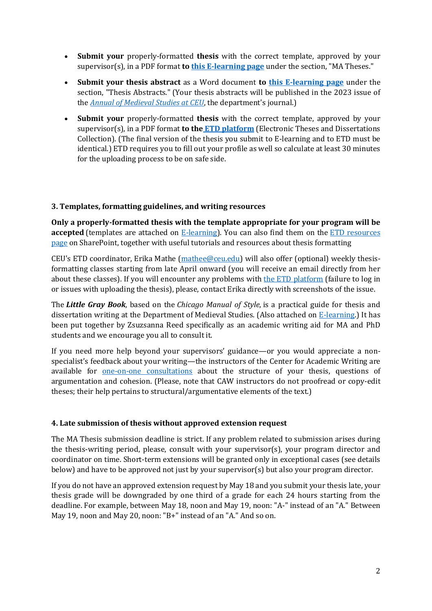- **Submit your** properly-formatted **thesis** with the correct template, approved by your supervisor(s), in a PDF format **to this [E-learning page](https://ceulearning.ceu.edu/course/view.php?id=14325)** under the section, "MA Theses."
- **Submit your thesis abstract** as a Word document **to [this E-learning page](https://ceulearning.ceu.edu/course/view.php?id=14325)** under the section, "Thesis Abstracts." (Your thesis abstracts will be published in the 2023 issue of the *[Annual of Medieval Studies at CEU](https://ams.ceu.edu/)*, the department's journal.)
- **Submit your** properly-formatted **thesis** with the correct template, approved by your supervisor(s), in a PDF format **to the [ETD platform](https://etd.ceu.edu/)** (Electronic Theses and Dissertations Collection). (The final version of the thesis you submit to E-learning and to ETD must be identical.) ETD requires you to fill out your profile as well so calculate at least 30 minutes for the uploading process to be on safe side.

### **3. Templates, formatting guidelines, and writing resources**

**Only a properly-formatted thesis with the template appropriate for your program will be accepted** (templates are attached on **E-learning**). You can also find them on the **ETD** resources [page](https://ceuedu.sharepoint.com/sites/CEUThesisSubmission/SitePages/Electronic-thesis-submission.aspx) on SharePoint, together with useful tutorials and resources about thesis formatting

CEU's ETD coordinator, Erika Mathe [\(mathee@ceu.edu\)](mailto:mathee@ceu.edu) will also offer (optional) weekly thesisformatting classes starting from late April onward (you will receive an email directly from her about these classes). If you will encounter any problems with [the ETD platform](https://etd.ceu.edu/) (failure to log in or issues with uploading the thesis), please, contact Erika directly with screenshots of the issue.

The *Little Gray Book*, based on the *Chicago Manual of Style*, is a practical guide for thesis and dissertation writing at the Department of Medieval Studies. (Also attached on [E-learning.](https://ceulearning.ceu.edu/course/view.php?id=14325)) It has been put together by Zsuzsanna Reed specifically as an academic writing aid for MA and PhD students and we encourage you all to consult it.

If you need more help beyond your supervisors' guidance—or you would appreciate a nonspecialist's feedback about your writing—the instructors of the Center for Academic Writing are available for [one-on-one consultations](https://caw.ceu.edu/consultations) about the structure of your thesis, questions of argumentation and cohesion. (Please, note that CAW instructors do not proofread or copy-edit theses; their help pertains to structural/argumentative elements of the text.)

## **4. Late submission of thesis without approved extension request**

The MA Thesis submission deadline is strict. If any problem related to submission arises during the thesis-writing period, please, consult with your supervisor(s), your program director and coordinator on time. Short-term extensions will be granted only in exceptional cases (see details below) and have to be approved not just by your supervisor(s) but also your program director.

If you do not have an approved extension request by May 18 and you submit your thesis late, your thesis grade will be downgraded by one third of a grade for each 24 hours starting from the deadline. For example, between May 18, noon and May 19, noon: "A-" instead of an "A." Between May 19, noon and May 20, noon: "B+" instead of an "A." And so on.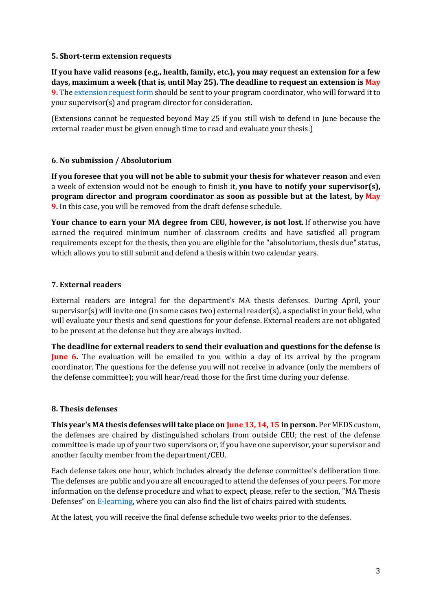### **5. Short-term extension requests**

**If you have valid reasons (e.g., health, family, etc.), you may request an extension for a few days, maximum a week (that is, until May 25). The deadline to request an extension is May 9.** Th[e extension request form](https://medievalstudies.ceu.edu/ma-forms-student-rights-regulations) should be sent to your program coordinator, who will forward it to your supervisor(s) and program director for consideration.

(Extensions cannot be requested beyond May 25 if you still wish to defend in June because the external reader must be given enough time to read and evaluate your thesis.)

### **6. No submission / Absolutorium**

**If you foresee that you will not be able to submit your thesis for whatever reason** and even a week of extension would not be enough to finish it, **you have to notify your supervisor(s), program director and program coordinator as soon as possible but at the latest, by May 9.** In this case, you will be removed from the draft defense schedule.

**Your chance to earn your MA degree from CEU, however, is not lost.** If otherwise you have earned the required minimum number of classroom credits and have satisfied all program requirements except for the thesis, then you are eligible for the "absolutorium, thesis due" status, which allows you to still submit and defend a thesis within two calendar years.

### **7. External readers**

External readers are integral for the department's MA thesis defenses. During April, your supervisor(s) will invite one (in some cases two) external reader(s), a specialist in your field, who will evaluate your thesis and send questions for your defense. External readers are not obligated to be present at the defense but they are always invited.

**The deadline for external readers to send their evaluation and questions for the defense is June 6.** The evaluation will be emailed to you within a day of its arrival by the program coordinator. The questions for the defense you will not receive in advance (only the members of the defense committee); you will hear/read those for the first time during your defense.

#### **8. Thesis defenses**

**This year's MA thesis defenses will take place on June 13, 14, 15 in person.** Per MEDS custom, the defenses are chaired by distinguished scholars from outside CEU; the rest of the defense committee is made up of your two supervisors or, if you have one supervisor, your supervisor and another faculty member from the department/CEU.

Each defense takes one hour, which includes already the defense committee's deliberation time. The defenses are public and you are all encouraged to attend the defenses of your peers. For more information on the defense procedure and what to expect, please, refer to the section, "MA Thesis Defenses" on [E-learning,](https://ceulearning.ceu.edu/course/view.php?id=14325) where you can also find the list of chairs paired with students.

At the latest, you will receive the final defense schedule two weeks prior to the defenses.